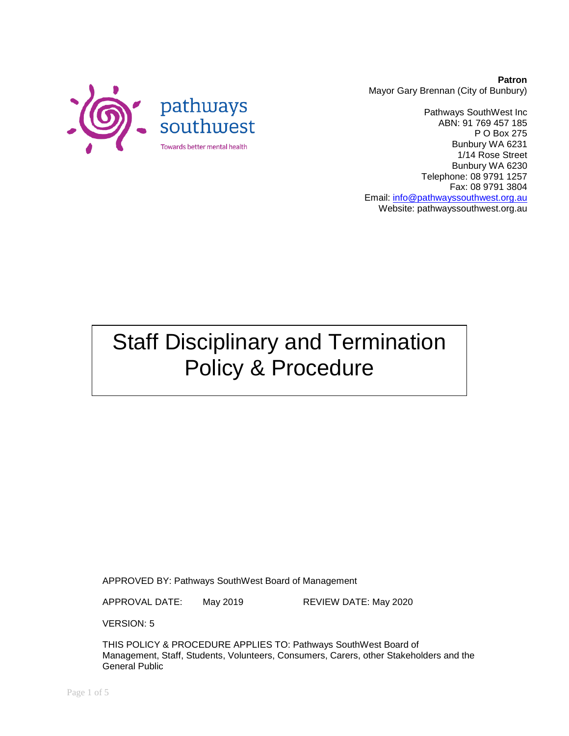

**Patron** Mayor Gary Brennan (City of Bunbury)

Pathways SouthWest Inc ABN: 91 769 457 185 P O Box 275 Bunbury WA 6231 1/14 Rose Street Bunbury WA 6230 Telephone: 08 9791 1257 Fax: 08 9791 3804 Email: [info@pathwayssouthwest.org.au](mailto:info@pathwayssouthwest.org.au) Website: pathwayssouthwest.org.au

Staff Disciplinary and Termination Policy & Procedure

APPROVED BY: Pathways SouthWest Board of Management

APPROVAL DATE: May 2019 REVIEW DATE: May 2020

VERSION: 5

THIS POLICY & PROCEDURE APPLIES TO: Pathways SouthWest Board of Management, Staff, Students, Volunteers, Consumers, Carers, other Stakeholders and the General Public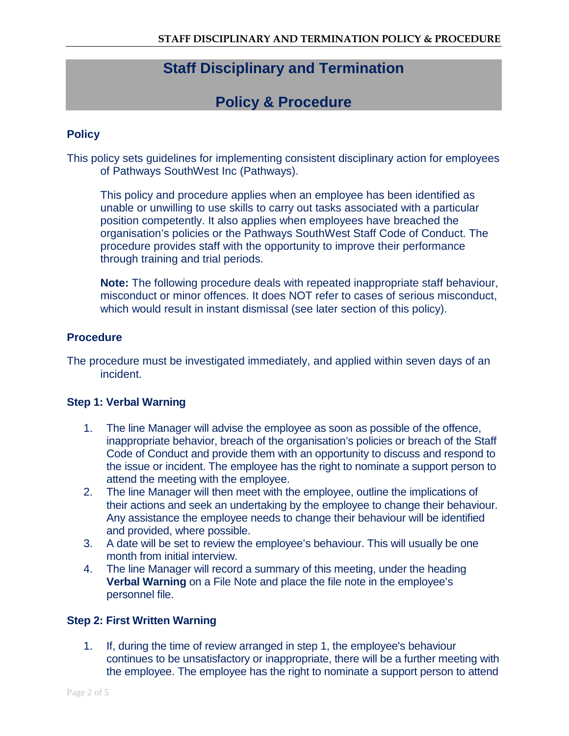# **Staff Disciplinary and Termination**

# **Policy & Procedure**

### **Policy**

This policy sets guidelines for implementing consistent disciplinary action for employees of Pathways SouthWest Inc (Pathways).

This policy and procedure applies when an employee has been identified as unable or unwilling to use skills to carry out tasks associated with a particular position competently. It also applies when employees have breached the organisation's policies or the Pathways SouthWest Staff Code of Conduct. The procedure provides staff with the opportunity to improve their performance through training and trial periods.

**Note:** The following procedure deals with repeated inappropriate staff behaviour, misconduct or minor offences. It does NOT refer to cases of serious misconduct, which would result in instant dismissal (see later section of this policy).

### **Procedure**

The procedure must be investigated immediately, and applied within seven days of an incident.

### **Step 1: Verbal Warning**

- 1. The line Manager will advise the employee as soon as possible of the offence, inappropriate behavior, breach of the organisation's policies or breach of the Staff Code of Conduct and provide them with an opportunity to discuss and respond to the issue or incident. The employee has the right to nominate a support person to attend the meeting with the employee.
- 2. The line Manager will then meet with the employee, outline the implications of their actions and seek an undertaking by the employee to change their behaviour. Any assistance the employee needs to change their behaviour will be identified and provided, where possible.
- 3. A date will be set to review the employee's behaviour. This will usually be one month from initial interview.
- 4. The line Manager will record a summary of this meeting, under the heading **Verbal Warning** on a File Note and place the file note in the employee's personnel file.

#### **Step 2: First Written Warning**

1. If, during the time of review arranged in step 1, the employee's behaviour continues to be unsatisfactory or inappropriate, there will be a further meeting with the employee. The employee has the right to nominate a support person to attend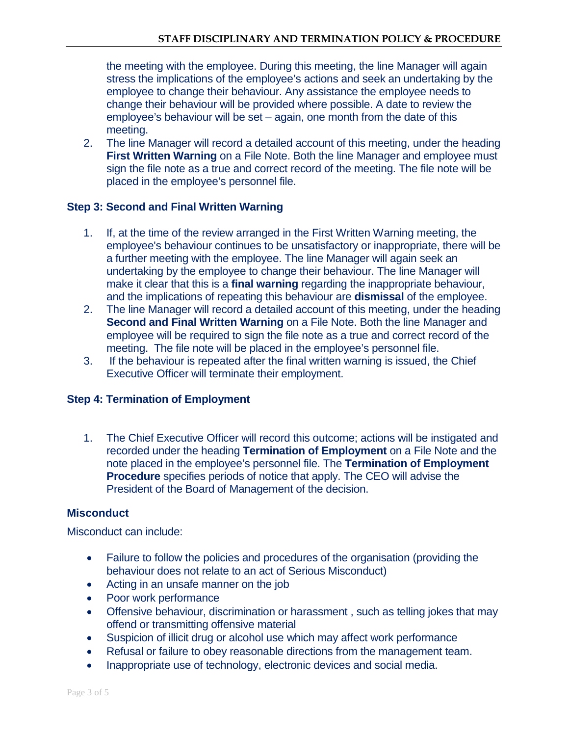the meeting with the employee. During this meeting, the line Manager will again stress the implications of the employee's actions and seek an undertaking by the employee to change their behaviour. Any assistance the employee needs to change their behaviour will be provided where possible. A date to review the employee's behaviour will be set – again, one month from the date of this meeting.

2. The line Manager will record a detailed account of this meeting, under the heading **First Written Warning** on a File Note. Both the line Manager and employee must sign the file note as a true and correct record of the meeting. The file note will be placed in the employee's personnel file.

## **Step 3: Second and Final Written Warning**

- 1. If, at the time of the review arranged in the First Written Warning meeting, the employee's behaviour continues to be unsatisfactory or inappropriate, there will be a further meeting with the employee. The line Manager will again seek an undertaking by the employee to change their behaviour. The line Manager will make it clear that this is a **final warning** regarding the inappropriate behaviour, and the implications of repeating this behaviour are **dismissal** of the employee.
- 2. The line Manager will record a detailed account of this meeting, under the heading **Second and Final Written Warning** on a File Note. Both the line Manager and employee will be required to sign the file note as a true and correct record of the meeting. The file note will be placed in the employee's personnel file.
- 3. If the behaviour is repeated after the final written warning is issued, the Chief Executive Officer will terminate their employment.

### **Step 4: Termination of Employment**

1. The Chief Executive Officer will record this outcome; actions will be instigated and recorded under the heading **Termination of Employment** on a File Note and the note placed in the employee's personnel file. The **Termination of Employment Procedure** specifies periods of notice that apply. The CEO will advise the President of the Board of Management of the decision.

## **Misconduct**

Misconduct can include:

- Failure to follow the policies and procedures of the organisation (providing the behaviour does not relate to an act of Serious Misconduct)
- Acting in an unsafe manner on the job
- Poor work performance
- Offensive behaviour, discrimination or harassment , such as telling jokes that may offend or transmitting offensive material
- Suspicion of illicit drug or alcohol use which may affect work performance
- Refusal or failure to obey reasonable directions from the management team.
- Inappropriate use of technology, electronic devices and social media.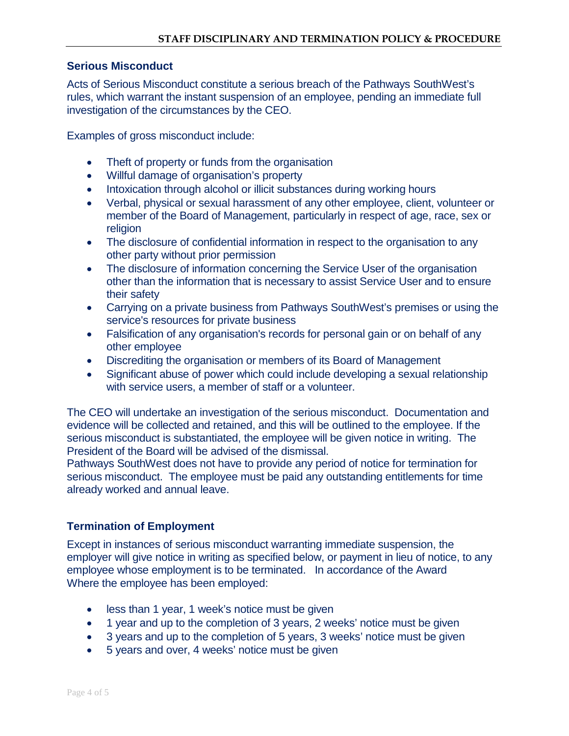#### **Serious Misconduct**

Acts of Serious Misconduct constitute a serious breach of the Pathways SouthWest's rules, which warrant the instant suspension of an employee, pending an immediate full investigation of the circumstances by the CEO.

Examples of gross misconduct include:

- Theft of property or funds from the organisation
- Willful damage of organisation's property
- Intoxication through alcohol or illicit substances during working hours
- Verbal, physical or sexual harassment of any other employee, client, volunteer or member of the Board of Management, particularly in respect of age, race, sex or religion
- The disclosure of confidential information in respect to the organisation to any other party without prior permission
- The disclosure of information concerning the Service User of the organisation other than the information that is necessary to assist Service User and to ensure their safety
- Carrying on a private business from Pathways SouthWest's premises or using the service's resources for private business
- Falsification of any organisation's records for personal gain or on behalf of any other employee
- Discrediting the organisation or members of its Board of Management
- Significant abuse of power which could include developing a sexual relationship with service users, a member of staff or a volunteer.

The CEO will undertake an investigation of the serious misconduct. Documentation and evidence will be collected and retained, and this will be outlined to the employee. If the serious misconduct is substantiated, the employee will be given notice in writing. The President of the Board will be advised of the dismissal.

Pathways SouthWest does not have to provide any period of notice for termination for serious misconduct. The employee must be paid any outstanding entitlements for time already worked and annual leave.

## **Termination of Employment**

Except in instances of serious misconduct warranting immediate suspension, the employer will give notice in writing as specified below, or payment in lieu of notice, to any employee whose employment is to be terminated. In accordance of the Award Where the employee has been employed:

- less than 1 year, 1 week's notice must be given
- 1 year and up to the completion of 3 years, 2 weeks' notice must be given
- 3 years and up to the completion of 5 years, 3 weeks' notice must be given
- 5 years and over, 4 weeks' notice must be given